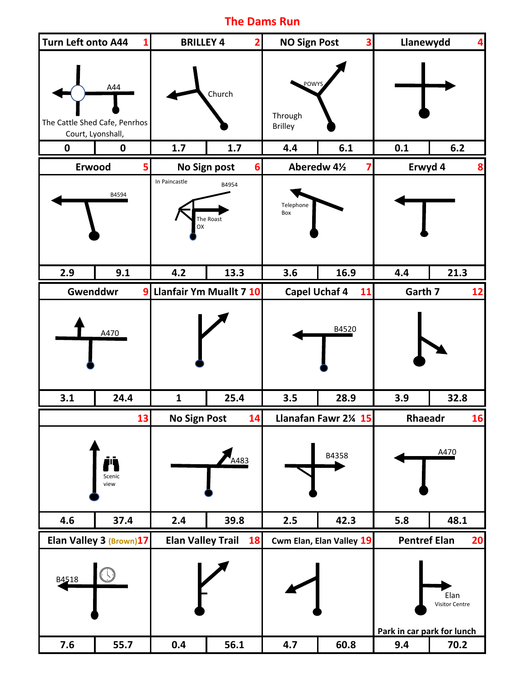## **The Dams Run**

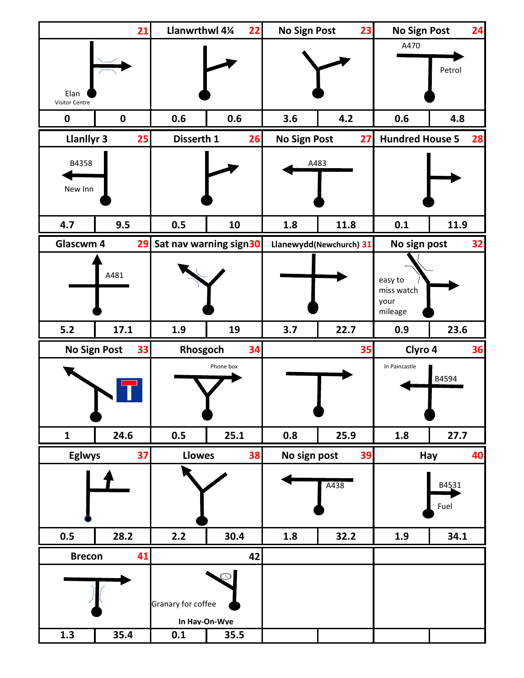